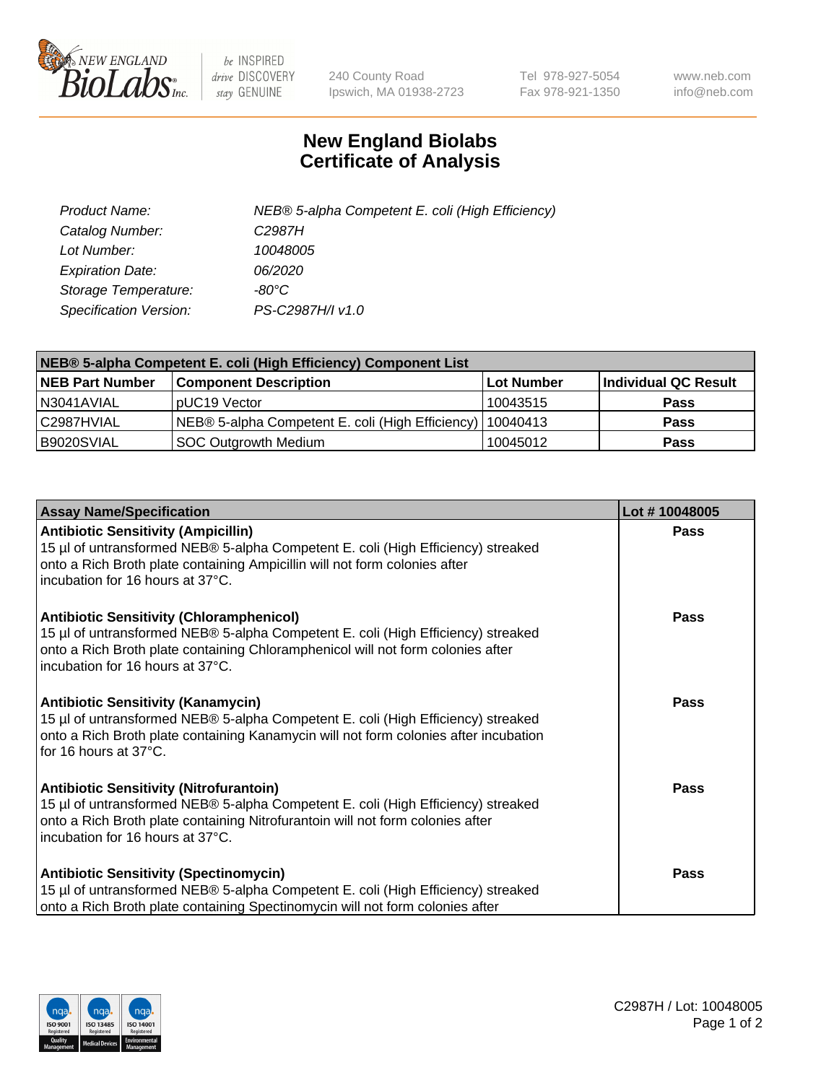

 $be$  INSPIRED drive DISCOVERY stay GENUINE

240 County Road Ipswich, MA 01938-2723 Tel 978-927-5054 Fax 978-921-1350 www.neb.com info@neb.com

## **New England Biolabs Certificate of Analysis**

| Product Name:                 | NEB® 5-alpha Competent E. coli (High Efficiency) |
|-------------------------------|--------------------------------------------------|
| Catalog Number:               | C <sub>2987</sub> H                              |
| Lot Number:                   | 10048005                                         |
| <b>Expiration Date:</b>       | <i>06/2020</i>                                   |
| Storage Temperature:          | -80°C                                            |
| <b>Specification Version:</b> | PS-C2987H/I v1.0                                 |

| NEB® 5-alpha Competent E. coli (High Efficiency) Component List |                                                  |            |                      |  |
|-----------------------------------------------------------------|--------------------------------------------------|------------|----------------------|--|
| <b>NEB Part Number</b>                                          | <b>Component Description</b>                     | Lot Number | Individual QC Result |  |
| N3041AVIAL                                                      | pUC19 Vector                                     | 10043515   | <b>Pass</b>          |  |
| C2987HVIAL                                                      | NEB® 5-alpha Competent E. coli (High Efficiency) | 10040413   | <b>Pass</b>          |  |
| B9020SVIAL                                                      | <b>SOC Outgrowth Medium</b>                      | 10045012   | <b>Pass</b>          |  |

| <b>Assay Name/Specification</b>                                                                                                                                                                                                                            | Lot #10048005 |
|------------------------------------------------------------------------------------------------------------------------------------------------------------------------------------------------------------------------------------------------------------|---------------|
| <b>Antibiotic Sensitivity (Ampicillin)</b><br>15 µl of untransformed NEB® 5-alpha Competent E. coli (High Efficiency) streaked<br>onto a Rich Broth plate containing Ampicillin will not form colonies after<br>incubation for 16 hours at 37°C.           | Pass          |
| <b>Antibiotic Sensitivity (Chloramphenicol)</b><br>15 µl of untransformed NEB® 5-alpha Competent E. coli (High Efficiency) streaked<br>onto a Rich Broth plate containing Chloramphenicol will not form colonies after<br>incubation for 16 hours at 37°C. | Pass          |
| Antibiotic Sensitivity (Kanamycin)<br>15 µl of untransformed NEB® 5-alpha Competent E. coli (High Efficiency) streaked<br>onto a Rich Broth plate containing Kanamycin will not form colonies after incubation<br>for 16 hours at 37°C.                    | Pass          |
| <b>Antibiotic Sensitivity (Nitrofurantoin)</b><br>15 µl of untransformed NEB® 5-alpha Competent E. coli (High Efficiency) streaked<br>onto a Rich Broth plate containing Nitrofurantoin will not form colonies after<br>incubation for 16 hours at 37°C.   | <b>Pass</b>   |
| <b>Antibiotic Sensitivity (Spectinomycin)</b><br>15 µl of untransformed NEB® 5-alpha Competent E. coli (High Efficiency) streaked<br>onto a Rich Broth plate containing Spectinomycin will not form colonies after                                         | Pass          |